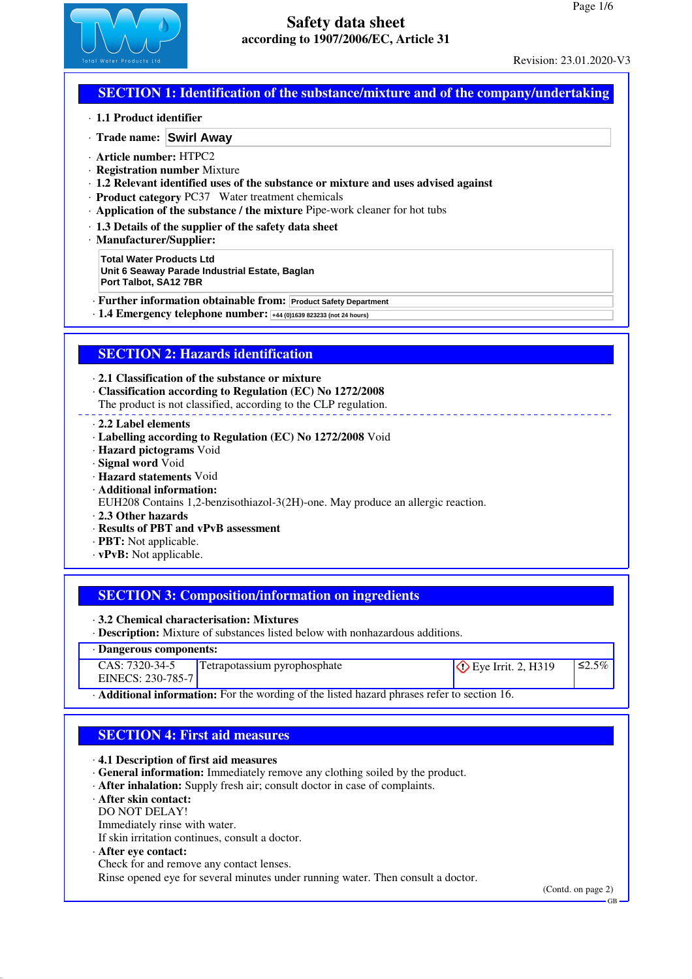

## **SECTION 1: Identification of the substance/mixture and of the company/undertaking**

- · **1.1 Product identifier**
- · **Trade name: Swirl Away**
- · **Article number:** HTPC2
- · **Registration number** Mixture
- · **1.2 Relevant identified uses of the substance or mixture and uses advised against**
- · **Product category** PC37 Water treatment chemicals
- · **Application of the substance / the mixture** Pipe-work cleaner for hot tubs
- · **1.3 Details of the supplier of the safety data sheet**
- · **Manufacturer/Supplier:**

**Total Water Products Ltd Unit 6 Seaway Parade Industrial Estate, Baglan Port Talbot, SA12 7BR**

- · **Further information obtainable from: Product Safety Department**
- · **1.4 Emergency telephone number: +44 (0)1639 823233 (not 24 hours)**

## **SECTION 2: Hazards identification**

· **2.1 Classification of the substance or mixture**

- · **Classification according to Regulation (EC) No 1272/2008**
- The product is not classified, according to the CLP regulation.
- · **2.2 Label elements**
- · **Labelling according to Regulation (EC) No 1272/2008** Void
- · **Hazard pictograms** Void
- · **Signal word** Void
- · **Hazard statements** Void
- · **Additional information:**
- EUH208 Contains 1,2-benzisothiazol-3(2H)-one. May produce an allergic reaction.
- · **2.3 Other hazards**
- · **Results of PBT and vPvB assessment**
- · **PBT:** Not applicable.
- · **vPvB:** Not applicable.

## **SECTION 3: Composition/information on ingredients**

· **3.2 Chemical characterisation: Mixtures**

· **Description:** Mixture of substances listed below with nonhazardous additions.

| · Dangerous components:                                                                                 |                                     |                               |              |
|---------------------------------------------------------------------------------------------------------|-------------------------------------|-------------------------------|--------------|
| $CAS: 7320-34-5$                                                                                        | <b>Tetrapotassium pyrophosphate</b> | $\Diamond$ Eye Irrit. 2, H319 | $\leq 2.5\%$ |
| EINECS: 230-785-7                                                                                       |                                     |                               |              |
| $\cdot$ <b>Additional information:</b> For the wording of the listed hazard phrases refer to section 16 |                                     |                               |              |

· **Additional information:** For the wording of the listed hazard phrases refer to section 16.

## **SECTION 4: First aid measures**

· **4.1 Description of first aid measures**

- · **General information:** Immediately remove any clothing soiled by the product.
- · **After inhalation:** Supply fresh air; consult doctor in case of complaints.
- · **After skin contact:**
- DO NOT DELAY!
- Immediately rinse with water.
- If skin irritation continues, consult a doctor.
- · **After eye contact:**
- Check for and remove any contact lenses.

Rinse opened eye for several minutes under running water. Then consult a doctor.

(Contd. on page 2)

GB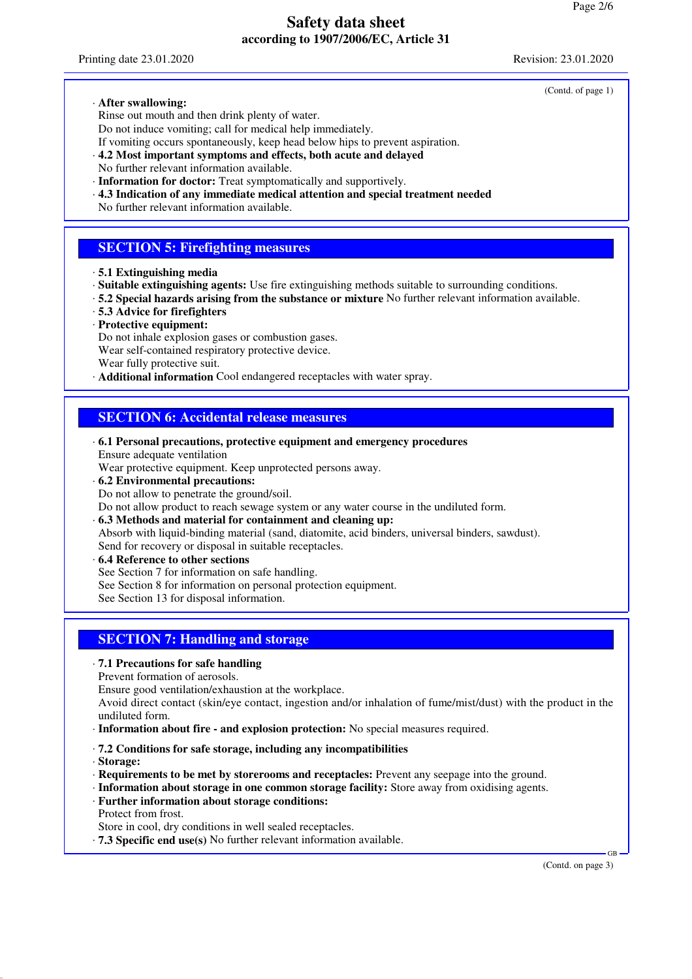Printing date 23.01.2020 Revision: 23.01.2020

(Contd. of page 1)

#### · **After swallowing:**

Rinse out mouth and then drink plenty of water. Do not induce vomiting; call for medical help immediately.

If vomiting occurs spontaneously, keep head below hips to prevent aspiration.

· **4.2 Most important symptoms and effects, both acute and delayed**

- No further relevant information available.
- · **Information for doctor:** Treat symptomatically and supportively.
- · **4.3 Indication of any immediate medical attention and special treatment needed**
- No further relevant information available.

## **SECTION 5: Firefighting measures**

- · **5.1 Extinguishing media**
- · **Suitable extinguishing agents:** Use fire extinguishing methods suitable to surrounding conditions.
- · **5.2 Special hazards arising from the substance or mixture** No further relevant information available.
- · **5.3 Advice for firefighters**
- · **Protective equipment:**

Do not inhale explosion gases or combustion gases. Wear self-contained respiratory protective device.

- Wear fully protective suit.
- · **Additional information** Cool endangered receptacles with water spray.

### **SECTION 6: Accidental release measures**

- · **6.1 Personal precautions, protective equipment and emergency procedures** Ensure adequate ventilation
- Wear protective equipment. Keep unprotected persons away.
- · **6.2 Environmental precautions:**

Do not allow to penetrate the ground/soil.

- Do not allow product to reach sewage system or any water course in the undiluted form.
- · **6.3 Methods and material for containment and cleaning up:**

Absorb with liquid-binding material (sand, diatomite, acid binders, universal binders, sawdust). Send for recovery or disposal in suitable receptacles.

- · **6.4 Reference to other sections**
- See Section 7 for information on safe handling.
- See Section 8 for information on personal protection equipment.

See Section 13 for disposal information.

## **SECTION 7: Handling and storage**

#### · **7.1 Precautions for safe handling**

Prevent formation of aerosols.

Ensure good ventilation/exhaustion at the workplace.

Avoid direct contact (skin/eye contact, ingestion and/or inhalation of fume/mist/dust) with the product in the undiluted form.

- · **Information about fire and explosion protection:** No special measures required.
- · **7.2 Conditions for safe storage, including any incompatibilities**

· **Storage:**

- · **Requirements to be met by storerooms and receptacles:** Prevent any seepage into the ground.
- · **Information about storage in one common storage facility:** Store away from oxidising agents.
- · **Further information about storage conditions:**
- Protect from frost.

Store in cool, dry conditions in well sealed receptacles.

· **7.3 Specific end use(s)** No further relevant information available.

(Contd. on page 3)

GB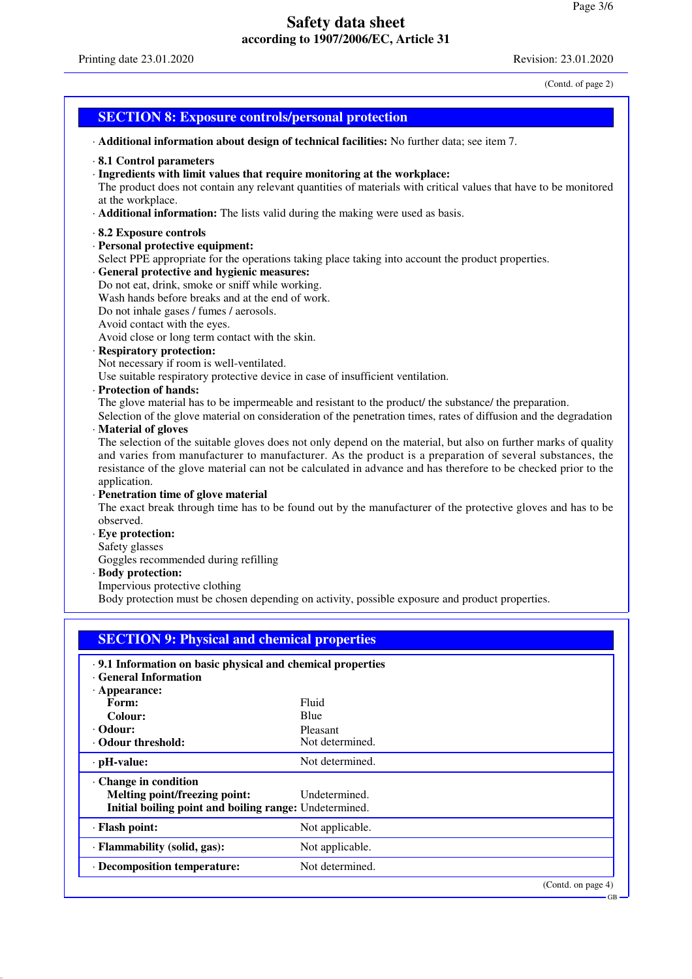GB

# **Safety data sheet according to 1907/2006/EC, Article 31**

(Contd. of page 2)

| <b>SECTION 8: Exposure controls/personal protection</b>                                                                                                                                                                                                                                                                                                                                                                                                                                                                                                                                                                                                                                                                                                                                                                                                                                                                                                                                                                                                                                                                                                                                                                                                                                                                                                                                                                                                                                                                                                                        |  |  |  |  |
|--------------------------------------------------------------------------------------------------------------------------------------------------------------------------------------------------------------------------------------------------------------------------------------------------------------------------------------------------------------------------------------------------------------------------------------------------------------------------------------------------------------------------------------------------------------------------------------------------------------------------------------------------------------------------------------------------------------------------------------------------------------------------------------------------------------------------------------------------------------------------------------------------------------------------------------------------------------------------------------------------------------------------------------------------------------------------------------------------------------------------------------------------------------------------------------------------------------------------------------------------------------------------------------------------------------------------------------------------------------------------------------------------------------------------------------------------------------------------------------------------------------------------------------------------------------------------------|--|--|--|--|
| Additional information about design of technical facilities: No further data; see item 7.                                                                                                                                                                                                                                                                                                                                                                                                                                                                                                                                                                                                                                                                                                                                                                                                                                                                                                                                                                                                                                                                                                                                                                                                                                                                                                                                                                                                                                                                                      |  |  |  |  |
| $\cdot$ 8.1 Control parameters<br>· Ingredients with limit values that require monitoring at the workplace:<br>The product does not contain any relevant quantities of materials with critical values that have to be monitored<br>at the workplace.<br>· <b>Additional information:</b> The lists valid during the making were used as basis.                                                                                                                                                                                                                                                                                                                                                                                                                                                                                                                                                                                                                                                                                                                                                                                                                                                                                                                                                                                                                                                                                                                                                                                                                                 |  |  |  |  |
| 8.2 Exposure controls<br>· Personal protective equipment:<br>Select PPE appropriate for the operations taking place taking into account the product properties.<br>· General protective and hygienic measures:<br>Do not eat, drink, smoke or sniff while working.<br>Wash hands before breaks and at the end of work.<br>Do not inhale gases / fumes / aerosols.<br>Avoid contact with the eyes.<br>Avoid close or long term contact with the skin.<br>· Respiratory protection:<br>Not necessary if room is well-ventilated.<br>Use suitable respiratory protective device in case of insufficient ventilation.<br>· Protection of hands:<br>The glove material has to be impermeable and resistant to the product/ the substance/ the preparation.<br>Selection of the glove material on consideration of the penetration times, rates of diffusion and the degradation<br>· Material of gloves<br>The selection of the suitable gloves does not only depend on the material, but also on further marks of quality<br>and varies from manufacturer to manufacturer. As the product is a preparation of several substances, the<br>resistance of the glove material can not be calculated in advance and has therefore to be checked prior to the<br>application.<br>· Penetration time of glove material<br>The exact break through time has to be found out by the manufacturer of the protective gloves and has to be<br>observed.<br>· Eye protection:<br>Safety glasses<br>Goggles recommended during refilling<br>· Body protection:<br>Impervious protective clothing |  |  |  |  |
| Body protection must be chosen depending on activity, possible exposure and product properties.                                                                                                                                                                                                                                                                                                                                                                                                                                                                                                                                                                                                                                                                                                                                                                                                                                                                                                                                                                                                                                                                                                                                                                                                                                                                                                                                                                                                                                                                                |  |  |  |  |
| <b>SECTION 9: Physical and chemical properties</b>                                                                                                                                                                                                                                                                                                                                                                                                                                                                                                                                                                                                                                                                                                                                                                                                                                                                                                                                                                                                                                                                                                                                                                                                                                                                                                                                                                                                                                                                                                                             |  |  |  |  |
| · 9.1 Information on basic physical and chemical properties<br><b>General Information</b><br>$\cdot$ Appearance:<br>Fluid<br>Form:<br>Colour:<br>Blue<br>$\cdot$ Odour:<br>Pleasant<br>· Odour threshold:<br>Not determined.                                                                                                                                                                                                                                                                                                                                                                                                                                                                                                                                                                                                                                                                                                                                                                                                                                                                                                                                                                                                                                                                                                                                                                                                                                                                                                                                                   |  |  |  |  |

| $\cdot$ pH-value:                                                                                                      | Not determined.    |
|------------------------------------------------------------------------------------------------------------------------|--------------------|
| $\cdot$ Change in condition<br>Melting point/freezing point:<br>Initial boiling point and boiling range: Undetermined. | Undetermined.      |
| · Flash point:                                                                                                         | Not applicable.    |
| · Flammability (solid, gas):                                                                                           | Not applicable.    |
| · Decomposition temperature:                                                                                           | Not determined.    |
|                                                                                                                        | (Contd. on page 4) |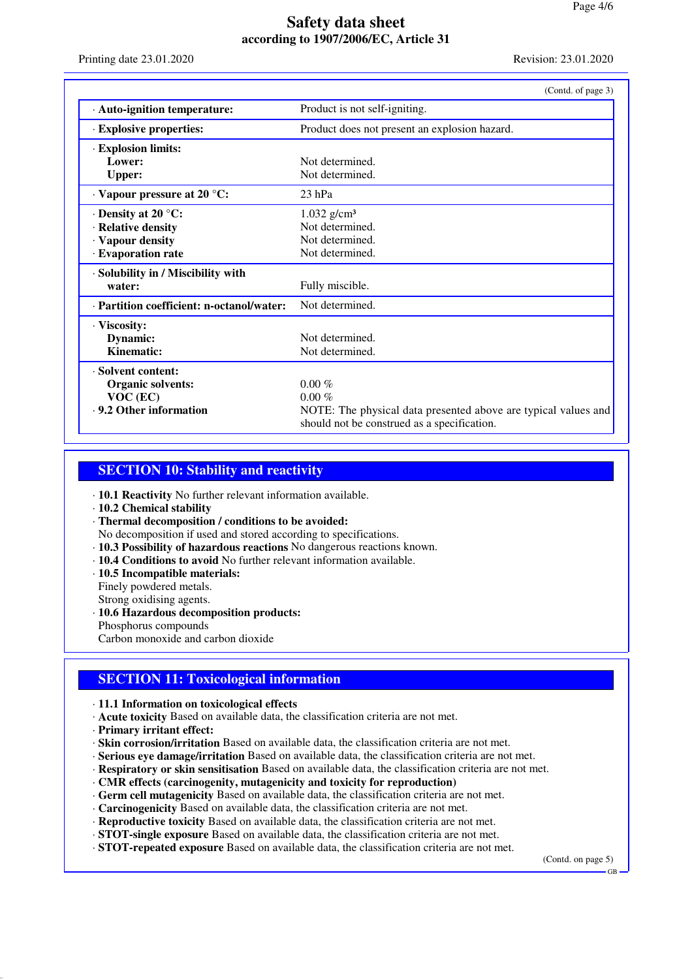Printing date 23.01.2020 Revision: 23.01.2020

|                                           | (Contd. of page 3)                                                                                            |
|-------------------------------------------|---------------------------------------------------------------------------------------------------------------|
| · Auto-ignition temperature:              | Product is not self-igniting.                                                                                 |
| <b>Explosive properties:</b>              | Product does not present an explosion hazard.                                                                 |
| · Explosion limits:                       |                                                                                                               |
| Lower:                                    | Not determined.                                                                                               |
| <b>Upper:</b>                             | Not determined.                                                                                               |
| $\cdot$ Vapour pressure at 20 °C:         | $23$ hPa                                                                                                      |
| $\cdot$ Density at 20 $\degree$ C:        | $1.032$ g/cm <sup>3</sup>                                                                                     |
| · Relative density                        | Not determined.                                                                                               |
| · Vapour density                          | Not determined.                                                                                               |
| · Evaporation rate                        | Not determined.                                                                                               |
| · Solubility in / Miscibility with        |                                                                                                               |
| water:                                    | Fully miscible.                                                                                               |
| · Partition coefficient: n-octanol/water: | Not determined.                                                                                               |
| · Viscosity:                              |                                                                                                               |
| Dynamic:                                  | Not determined.                                                                                               |
| Kinematic:                                | Not determined.                                                                                               |
| · Solvent content:                        |                                                                                                               |
| <b>Organic solvents:</b>                  | $0.00\%$                                                                                                      |
| $VOC$ (EC)                                | $0.00\%$                                                                                                      |
| . 9.2 Other information                   | NOTE: The physical data presented above are typical values and<br>should not be construed as a specification. |

### **SECTION 10: Stability and reactivity**

· **10.1 Reactivity** No further relevant information available.

· **10.2 Chemical stability**

· **Thermal decomposition / conditions to be avoided:**

No decomposition if used and stored according to specifications.

- · **10.3 Possibility of hazardous reactions** No dangerous reactions known.
- · **10.4 Conditions to avoid** No further relevant information available.
- · **10.5 Incompatible materials:**

Finely powdered metals.

Strong oxidising agents.

· **10.6 Hazardous decomposition products:** Phosphorus compounds

Carbon monoxide and carbon dioxide

## **SECTION 11: Toxicological information**

· **11.1 Information on toxicological effects**

- · **Acute toxicity** Based on available data, the classification criteria are not met.
- · **Primary irritant effect:**
- · **Skin corrosion/irritation** Based on available data, the classification criteria are not met.
- · **Serious eye damage/irritation** Based on available data, the classification criteria are not met.
- · **Respiratory or skin sensitisation** Based on available data, the classification criteria are not met.
- · **CMR effects (carcinogenity, mutagenicity and toxicity for reproduction)**
- · **Germ cell mutagenicity** Based on available data, the classification criteria are not met.
- · **Carcinogenicity** Based on available data, the classification criteria are not met.
- · **Reproductive toxicity** Based on available data, the classification criteria are not met.
- · **STOT-single exposure** Based on available data, the classification criteria are not met.
- · **STOT-repeated exposure** Based on available data, the classification criteria are not met.

(Contd. on page 5)

GB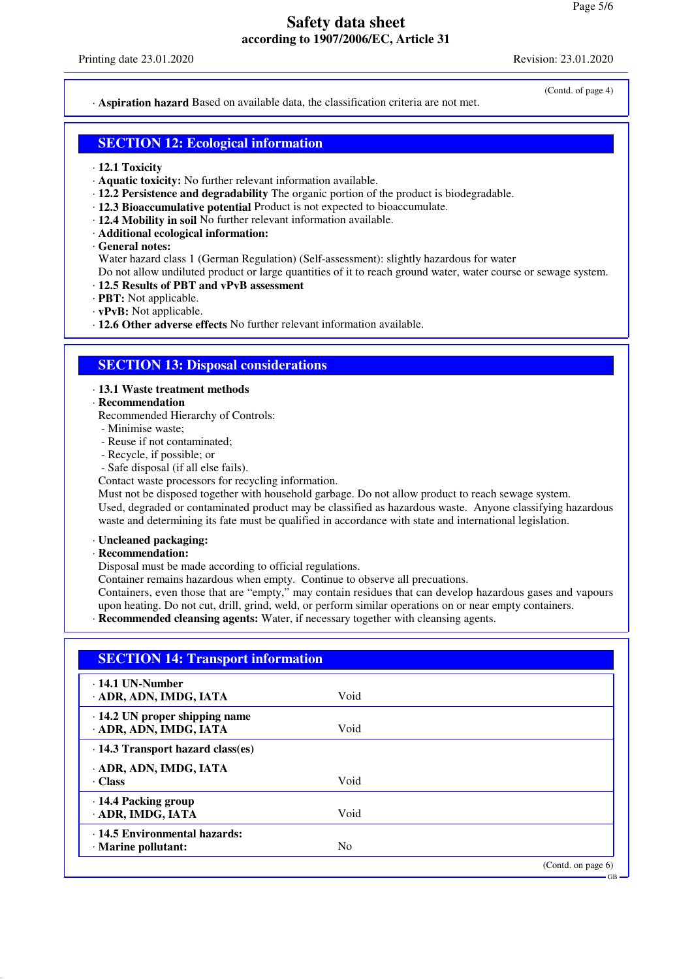(Contd. of page 4)

GB

· **Aspiration hazard** Based on available data, the classification criteria are not met.

### **SECTION 12: Ecological information**

- · **12.1 Toxicity**
- · **Aquatic toxicity:** No further relevant information available.
- · **12.2 Persistence and degradability** The organic portion of the product is biodegradable.
- · **12.3 Bioaccumulative potential** Product is not expected to bioaccumulate.
- · **12.4 Mobility in soil** No further relevant information available.
- · **Additional ecological information:**
- · **General notes:**

Water hazard class 1 (German Regulation) (Self-assessment): slightly hazardous for water

Do not allow undiluted product or large quantities of it to reach ground water, water course or sewage system. · **12.5 Results of PBT and vPvB assessment**

- · **PBT:** Not applicable.
- · **vPvB:** Not applicable.
- · **12.6 Other adverse effects** No further relevant information available.

## **SECTION 13: Disposal considerations**

#### · **13.1 Waste treatment methods**

· **Recommendation**

Recommended Hierarchy of Controls:

- Minimise waste;
- Reuse if not contaminated;
- Recycle, if possible; or
- Safe disposal (if all else fails).

Contact waste processors for recycling information.

Must not be disposed together with household garbage. Do not allow product to reach sewage system. Used, degraded or contaminated product may be classified as hazardous waste. Anyone classifying hazardous waste and determining its fate must be qualified in accordance with state and international legislation.

#### · **Uncleaned packaging:**

#### · **Recommendation:**

Disposal must be made according to official regulations.

Container remains hazardous when empty. Continue to observe all precuations.

Containers, even those that are "empty," may contain residues that can develop hazardous gases and vapours upon heating. Do not cut, drill, grind, weld, or perform similar operations on or near empty containers.

· **Recommended cleansing agents:** Water, if necessary together with cleansing agents.

| $\cdot$ 14.1 UN-Number                  |                |  |
|-----------------------------------------|----------------|--|
| · ADR, ADN, IMDG, IATA                  | Void           |  |
| $\cdot$ 14.2 UN proper shipping name    |                |  |
| · ADR, ADN, IMDG, IATA                  | Void           |  |
| $\cdot$ 14.3 Transport hazard class(es) |                |  |
| ADR, ADN, IMDG, IATA                    |                |  |
| · Class                                 | Void           |  |
| $\cdot$ 14.4 Packing group              |                |  |
| · ADR, IMDG, IATA                       | Void           |  |
| · 14.5 Environmental hazards:           |                |  |
| · Marine pollutant:                     | N <sub>0</sub> |  |